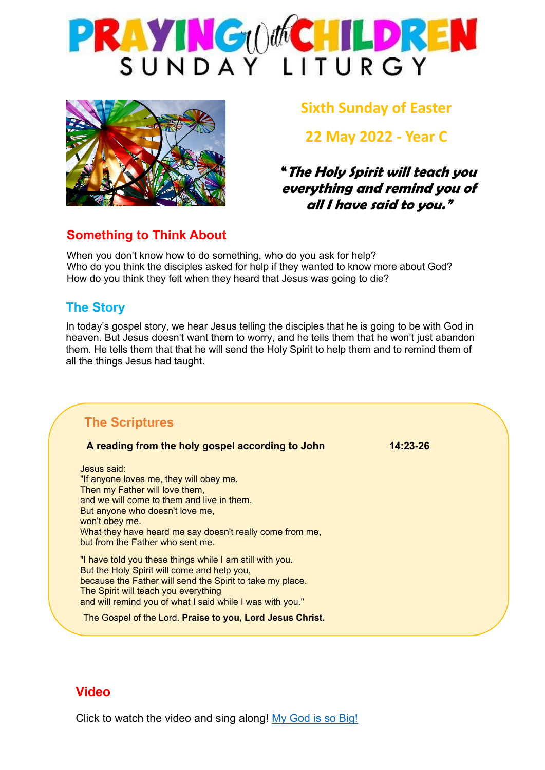



### **Sixth Sunday of Easter**

**22 May 2022 - Year C**

**"The Holy Spirit will teach you everything and remind you of all I have said to you."**

#### **Something to Think About**

When you don't know how to do something, who do you ask for help? Who do you think the disciples asked for help if they wanted to know more about God? How do you think they felt when they heard that Jesus was going to die?

#### **The Story**

In today's gospel story, we hear Jesus telling the disciples that he is going to be with God in heaven. But Jesus doesn't want them to worry, and he tells them that he won't just abandon them. He tells them that that he will send the Holy Spirit to help them and to remind them of all the things Jesus had taught.

#### **The Scriptures**

| A reading from the holy gospel according to John          | $14:23-26$ |
|-----------------------------------------------------------|------------|
| Jesus said:                                               |            |
| "If anyone loves me, they will obey me.                   |            |
| Then my Father will love them,                            |            |
| and we will come to them and live in them.                |            |
| But anyone who doesn't love me,                           |            |
| won't obey me.                                            |            |
| What they have heard me say doesn't really come from me,  |            |
| but from the Father who sent me.                          |            |
| "I have told you these things while I am still with you.  |            |
| But the Holy Spirit will come and help you,               |            |
| because the Father will send the Spirit to take my place. |            |
| The Spirit will teach you everything                      |            |
| and will remind you of what I said while I was with you." |            |
| The Gospel of the Lord. Praise to you, Lord Jesus Christ. |            |
|                                                           |            |

#### **Video**

Click to watch the video and sing along! [My God is so Big!](https://www.youtube.com/watch?v=yiWYtwFt9Jc&list=RDT4eW2HvizuI&index=10)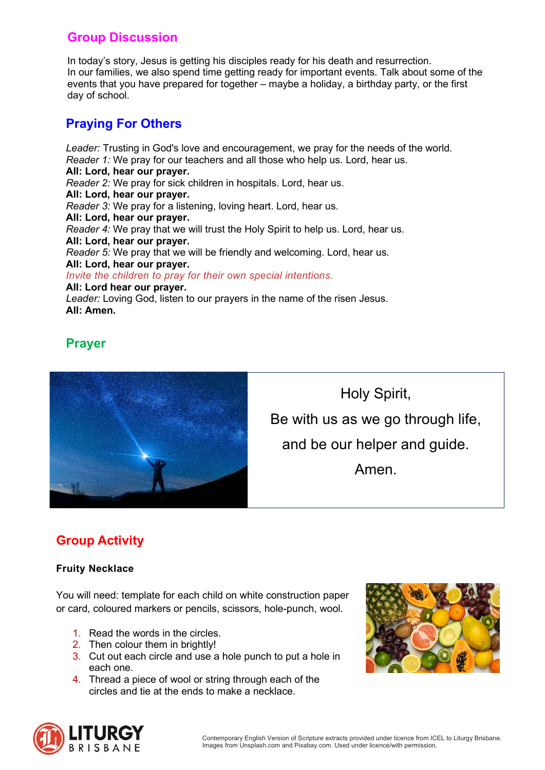#### **Group Discussion**

In today's story, Jesus is getting his disciples ready for his death and resurrection. In our families, we also spend time getting ready for important events. Talk about some of the events that you have prepared for together – maybe a holiday, a birthday party, or the first day of school.

#### **Praying For Others**

*Leader:* Trusting in God's love and encouragement, we pray for the needs of the world. *Reader 1:* We pray for our teachers and all those who help us. Lord, hear us. **All: Lord, hear our prayer.** *Reader 2:* We pray for sick children in hospitals. Lord, hear us. **All: Lord, hear our prayer.** *Reader 3:* We pray for a listening, loving heart. Lord, hear us. **All: Lord, hear our prayer.** *Reader 4:* We pray that we will trust the Holy Spirit to help us. Lord, hear us. **All: Lord, hear our prayer.** *Reader 5:* We pray that we will be friendly and welcoming. Lord, hear us. **All: Lord, hear our prayer.** *Invite the children to pray for their own special intentions.* **All: Lord hear our prayer.** *Leader:* Loving God, listen to our prayers in the name of the risen Jesus. **All: Amen.**

#### **Prayer**



Holy Spirit, Be with us as we go through life, and be our helper and guide. Amen.

### **Group Activity**

#### **Fruity Necklace**

You will need: template for each child on white construction paper or card, coloured markers or pencils, scissors, hole-punch, wool.

- 1. Read the words in the circles.
- 2. Then colour them in brightly!
- 3. Cut out each circle and use a hole punch to put a hole in each one.
- 4. Thread a piece of wool or string through each of the circles and tie at the ends to make a necklace.



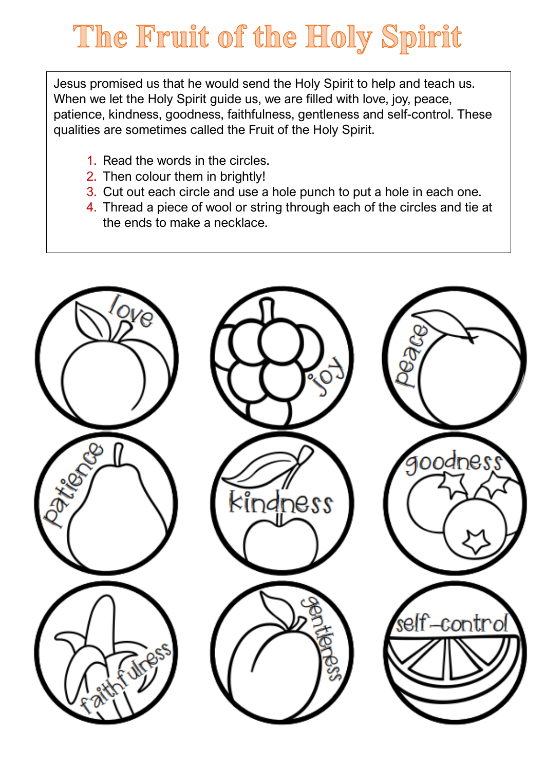## The Fruit of the Holy Spirit

Jesus promised us that he would send the Holy Spirit to help and teach us. When we let the Holy Spirit guide us, we are filled with love, joy, peace, patience, kindness, goodness, faithfulness, gentleness and self-control. These qualities are sometimes called the Fruit of the Holy Spirit.

- 1. Read the words in the circles.
- 2. Then colour them in brightly!
- 3. Cut out each circle and use a hole punch to put a hole in each one.
- 4. Thread a piece of wool or string through each of the circles and tie at the ends to make a necklace.